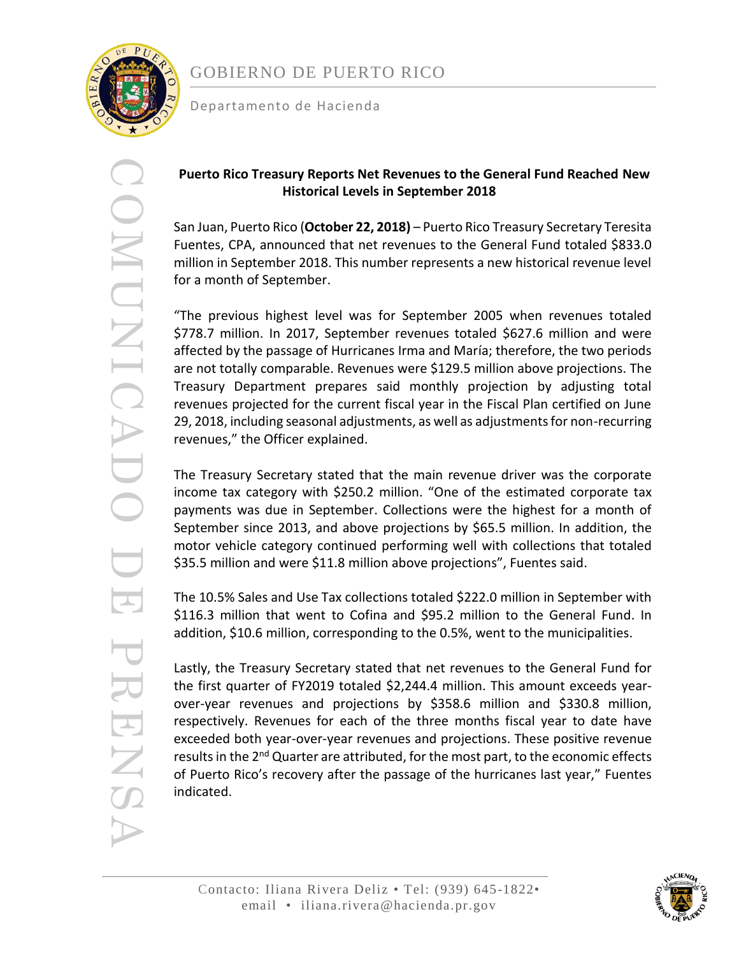

## GOBIERNO DE PUERTO RICO

Departamento de Hacienda

# COMUNICADO DE PRENSA OUNDINUMO र PRENS

### **Puerto Rico Treasury Reports Net Revenues to the General Fund Reached New Historical Levels in September 2018**

San Juan, Puerto Rico (**October 22, 2018)** – Puerto Rico Treasury Secretary Teresita Fuentes, CPA, announced that net revenues to the General Fund totaled \$833.0 million in September 2018. This number represents a new historical revenue level for a month of September.

"The previous highest level was for September 2005 when revenues totaled \$778.7 million. In 2017, September revenues totaled \$627.6 million and were affected by the passage of Hurricanes Irma and María; therefore, the two periods are not totally comparable. Revenues were \$129.5 million above projections. The Treasury Department prepares said monthly projection by adjusting total revenues projected for the current fiscal year in the Fiscal Plan certified on June 29, 2018, including seasonal adjustments, as well as adjustments for non-recurring revenues," the Officer explained.

The Treasury Secretary stated that the main revenue driver was the corporate income tax category with \$250.2 million. "One of the estimated corporate tax payments was due in September. Collections were the highest for a month of September since 2013, and above projections by \$65.5 million. In addition, the motor vehicle category continued performing well with collections that totaled \$35.5 million and were \$11.8 million above projections", Fuentes said.

The 10.5% Sales and Use Tax collections totaled \$222.0 million in September with \$116.3 million that went to Cofina and \$95.2 million to the General Fund. In addition, \$10.6 million, corresponding to the 0.5%, went to the municipalities.

Lastly, the Treasury Secretary stated that net revenues to the General Fund for the first quarter of FY2019 totaled \$2,244.4 million. This amount exceeds yearover-year revenues and projections by \$358.6 million and \$330.8 million, respectively. Revenues for each of the three months fiscal year to date have exceeded both year-over-year revenues and projections. These positive revenue results in the 2<sup>nd</sup> Quarter are attributed, for the most part, to the economic effects of Puerto Rico's recovery after the passage of the hurricanes last year," Fuentes indicated.